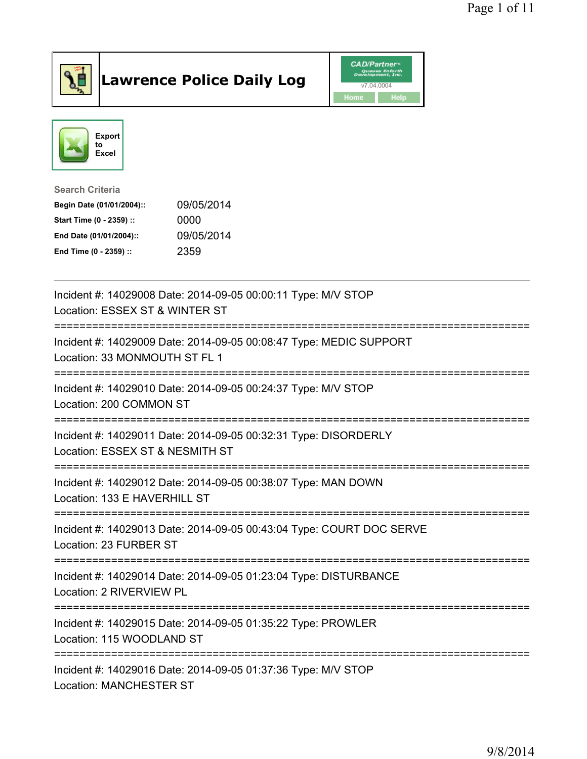

## Lawrence Police Daily Log **Daniel CAD/Partner**





Search Criteria Begin Date (01/01/2004):: 09/05/2014 Start Time (0 - 2359) :: 0000 End Date (01/01/2004):: 09/05/2014 End Time (0 - 2359) :: 2359

| Incident #: 14029008 Date: 2014-09-05 00:00:11 Type: M/V STOP<br>Location: ESSEX ST & WINTER ST                       |
|-----------------------------------------------------------------------------------------------------------------------|
| Incident #: 14029009 Date: 2014-09-05 00:08:47 Type: MEDIC SUPPORT<br>Location: 33 MONMOUTH ST FL 1                   |
| Incident #: 14029010 Date: 2014-09-05 00:24:37 Type: M/V STOP<br>Location: 200 COMMON ST<br>========================= |
| Incident #: 14029011 Date: 2014-09-05 00:32:31 Type: DISORDERLY<br>Location: ESSEX ST & NESMITH ST                    |
| Incident #: 14029012 Date: 2014-09-05 00:38:07 Type: MAN DOWN<br>Location: 133 E HAVERHILL ST                         |
| Incident #: 14029013 Date: 2014-09-05 00:43:04 Type: COURT DOC SERVE<br>Location: 23 FURBER ST                        |
| Incident #: 14029014 Date: 2014-09-05 01:23:04 Type: DISTURBANCE<br>Location: 2 RIVERVIEW PL                          |
| Incident #: 14029015 Date: 2014-09-05 01:35:22 Type: PROWLER<br>Location: 115 WOODLAND ST                             |
| Incident #: 14029016 Date: 2014-09-05 01:37:36 Type: M/V STOP<br><b>Location: MANCHESTER ST</b>                       |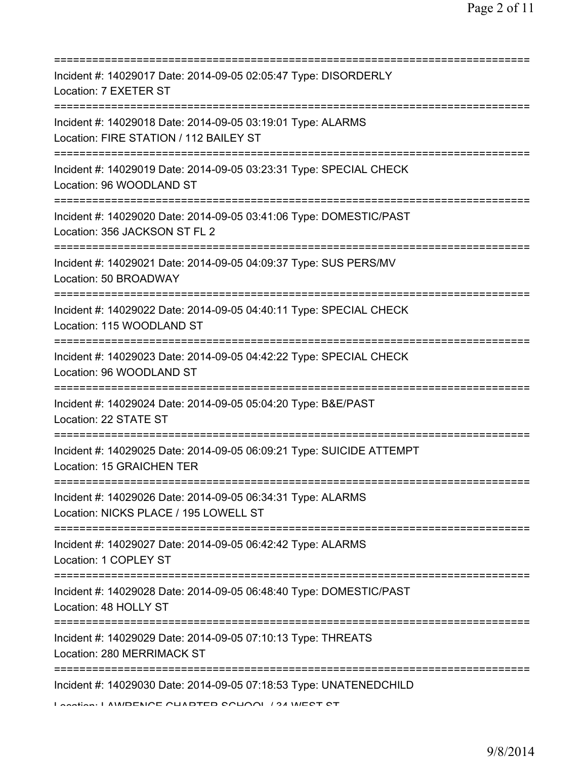| Incident #: 14029017 Date: 2014-09-05 02:05:47 Type: DISORDERLY<br>Location: 7 EXETER ST                                                 |
|------------------------------------------------------------------------------------------------------------------------------------------|
| Incident #: 14029018 Date: 2014-09-05 03:19:01 Type: ALARMS<br>Location: FIRE STATION / 112 BAILEY ST<br>=============================== |
| Incident #: 14029019 Date: 2014-09-05 03:23:31 Type: SPECIAL CHECK<br>Location: 96 WOODLAND ST                                           |
| Incident #: 14029020 Date: 2014-09-05 03:41:06 Type: DOMESTIC/PAST<br>Location: 356 JACKSON ST FL 2                                      |
| Incident #: 14029021 Date: 2014-09-05 04:09:37 Type: SUS PERS/MV<br>Location: 50 BROADWAY<br>===============================             |
| Incident #: 14029022 Date: 2014-09-05 04:40:11 Type: SPECIAL CHECK<br>Location: 115 WOODLAND ST                                          |
| Incident #: 14029023 Date: 2014-09-05 04:42:22 Type: SPECIAL CHECK<br>Location: 96 WOODLAND ST<br>================================       |
| Incident #: 14029024 Date: 2014-09-05 05:04:20 Type: B&E/PAST<br>Location: 22 STATE ST                                                   |
| Incident #: 14029025 Date: 2014-09-05 06:09:21 Type: SUICIDE ATTEMPT<br>Location: 15 GRAICHEN TER                                        |
| Incident #: 14029026 Date: 2014-09-05 06:34:31 Type: ALARMS<br>Location: NICKS PLACE / 195 LOWELL ST                                     |
| Incident #: 14029027 Date: 2014-09-05 06:42:42 Type: ALARMS<br>Location: 1 COPLEY ST                                                     |
| Incident #: 14029028 Date: 2014-09-05 06:48:40 Type: DOMESTIC/PAST<br>Location: 48 HOLLY ST                                              |
| Incident #: 14029029 Date: 2014-09-05 07:10:13 Type: THREATS<br>Location: 280 MERRIMACK ST                                               |
| Incident #: 14029030 Date: 2014-09-05 07:18:53 Type: UNATENEDCHILD<br>Lootion: LAWDENICE CUADTED COUOOL 194 WEST ST                      |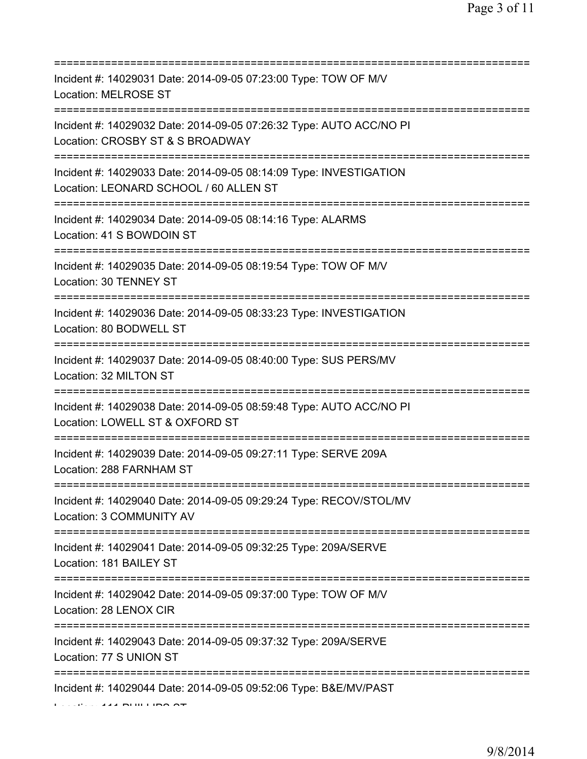| Incident #: 14029031 Date: 2014-09-05 07:23:00 Type: TOW OF M/V<br>Location: MELROSE ST<br>=====================                                |
|-------------------------------------------------------------------------------------------------------------------------------------------------|
| Incident #: 14029032 Date: 2014-09-05 07:26:32 Type: AUTO ACC/NO PI<br>Location: CROSBY ST & S BROADWAY                                         |
| Incident #: 14029033 Date: 2014-09-05 08:14:09 Type: INVESTIGATION<br>Location: LEONARD SCHOOL / 60 ALLEN ST<br>=============================== |
| Incident #: 14029034 Date: 2014-09-05 08:14:16 Type: ALARMS<br>Location: 41 S BOWDOIN ST                                                        |
| Incident #: 14029035 Date: 2014-09-05 08:19:54 Type: TOW OF M/V<br>Location: 30 TENNEY ST                                                       |
| Incident #: 14029036 Date: 2014-09-05 08:33:23 Type: INVESTIGATION<br>Location: 80 BODWELL ST                                                   |
| Incident #: 14029037 Date: 2014-09-05 08:40:00 Type: SUS PERS/MV<br>Location: 32 MILTON ST                                                      |
| Incident #: 14029038 Date: 2014-09-05 08:59:48 Type: AUTO ACC/NO PI<br>Location: LOWELL ST & OXFORD ST                                          |
| Incident #: 14029039 Date: 2014-09-05 09:27:11 Type: SERVE 209A<br>Location: 288 FARNHAM ST                                                     |
| Incident #: 14029040 Date: 2014-09-05 09:29:24 Type: RECOV/STOL/MV<br>Location: 3 COMMUNITY AV                                                  |
| Incident #: 14029041 Date: 2014-09-05 09:32:25 Type: 209A/SERVE<br>Location: 181 BAILEY ST                                                      |
| Incident #: 14029042 Date: 2014-09-05 09:37:00 Type: TOW OF M/V<br>Location: 28 LENOX CIR                                                       |
| Incident #: 14029043 Date: 2014-09-05 09:37:32 Type: 209A/SERVE<br>Location: 77 S UNION ST                                                      |
| Incident #: 14029044 Date: 2014-09-05 09:52:06 Type: B&E/MV/PAST                                                                                |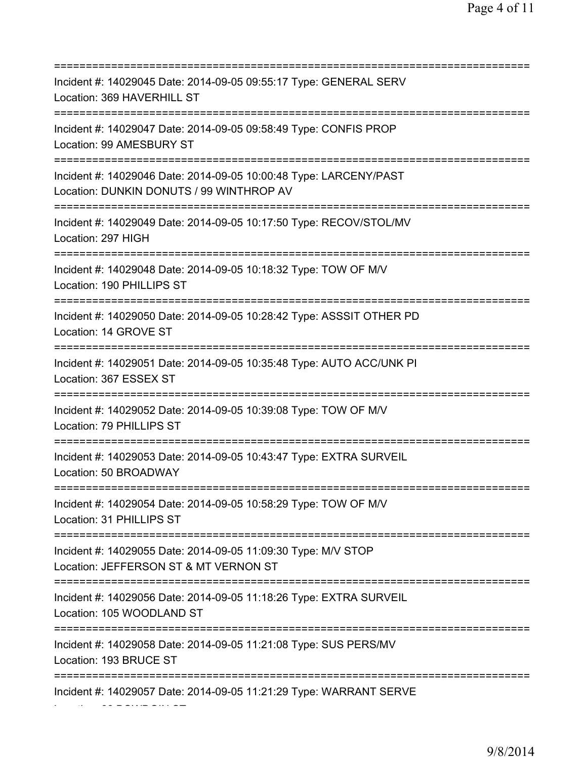| Incident #: 14029045 Date: 2014-09-05 09:55:17 Type: GENERAL SERV<br>Location: 369 HAVERHILL ST                          |
|--------------------------------------------------------------------------------------------------------------------------|
| Incident #: 14029047 Date: 2014-09-05 09:58:49 Type: CONFIS PROP<br>Location: 99 AMESBURY ST                             |
| Incident #: 14029046 Date: 2014-09-05 10:00:48 Type: LARCENY/PAST<br>Location: DUNKIN DONUTS / 99 WINTHROP AV            |
| Incident #: 14029049 Date: 2014-09-05 10:17:50 Type: RECOV/STOL/MV<br>Location: 297 HIGH<br>============================ |
| Incident #: 14029048 Date: 2014-09-05 10:18:32 Type: TOW OF M/V<br>Location: 190 PHILLIPS ST                             |
| Incident #: 14029050 Date: 2014-09-05 10:28:42 Type: ASSSIT OTHER PD<br>Location: 14 GROVE ST                            |
| Incident #: 14029051 Date: 2014-09-05 10:35:48 Type: AUTO ACC/UNK PI<br>Location: 367 ESSEX ST                           |
| Incident #: 14029052 Date: 2014-09-05 10:39:08 Type: TOW OF M/V<br>Location: 79 PHILLIPS ST                              |
| Incident #: 14029053 Date: 2014-09-05 10:43:47 Type: EXTRA SURVEIL<br>Location: 50 BROADWAY                              |
| Incident #: 14029054 Date: 2014-09-05 10:58:29 Type: TOW OF M/V<br>Location: 31 PHILLIPS ST                              |
| Incident #: 14029055 Date: 2014-09-05 11:09:30 Type: M/V STOP<br>Location: JEFFERSON ST & MT VERNON ST                   |
| Incident #: 14029056 Date: 2014-09-05 11:18:26 Type: EXTRA SURVEIL<br>Location: 105 WOODLAND ST                          |
| Incident #: 14029058 Date: 2014-09-05 11:21:08 Type: SUS PERS/MV<br>Location: 193 BRUCE ST                               |
| Incident #: 14029057 Date: 2014-09-05 11:21:29 Type: WARRANT SERVE                                                       |

Location: 66 BOWDOIN ST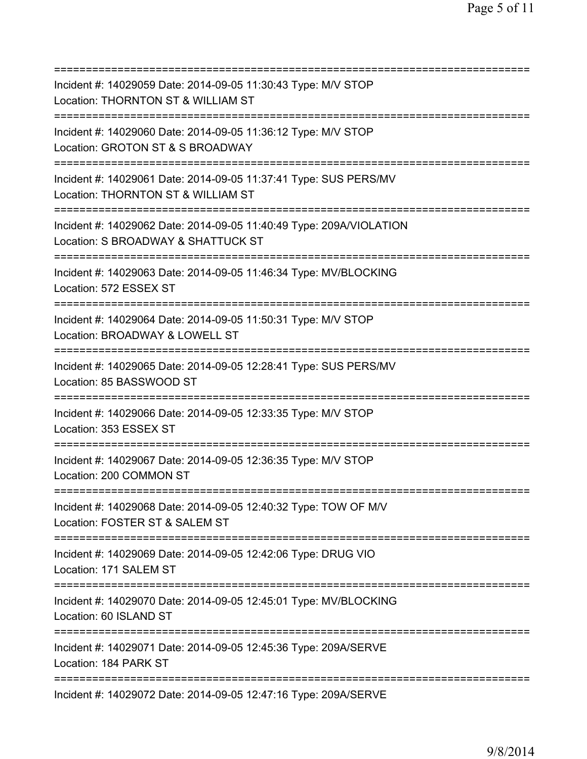=========================================================================== Incident #: 14029059 Date: 2014-09-05 11:30:43 Type: M/V STOP Location: THORNTON ST & WILLIAM ST =========================================================================== Incident #: 14029060 Date: 2014-09-05 11:36:12 Type: M/V STOP Location: GROTON ST & S BROADWAY =========================================================================== Incident #: 14029061 Date: 2014-09-05 11:37:41 Type: SUS PERS/MV Location: THORNTON ST & WILLIAM ST =========================================================================== Incident #: 14029062 Date: 2014-09-05 11:40:49 Type: 209A/VIOLATION Location: S BROADWAY & SHATTUCK ST =========================================================================== Incident #: 14029063 Date: 2014-09-05 11:46:34 Type: MV/BLOCKING Location: 572 ESSEX ST =========================================================================== Incident #: 14029064 Date: 2014-09-05 11:50:31 Type: M/V STOP Location: BROADWAY & LOWELL ST =========================================================================== Incident #: 14029065 Date: 2014-09-05 12:28:41 Type: SUS PERS/MV Location: 85 BASSWOOD ST =========================================================================== Incident #: 14029066 Date: 2014-09-05 12:33:35 Type: M/V STOP Location: 353 ESSEX ST =========================================================================== Incident #: 14029067 Date: 2014-09-05 12:36:35 Type: M/V STOP Location: 200 COMMON ST =========================================================================== Incident #: 14029068 Date: 2014-09-05 12:40:32 Type: TOW OF M/V Location: FOSTER ST & SALEM ST =========================================================================== Incident #: 14029069 Date: 2014-09-05 12:42:06 Type: DRUG VIO Location: 171 SALEM ST =========================================================================== Incident #: 14029070 Date: 2014-09-05 12:45:01 Type: MV/BLOCKING Location: 60 ISLAND ST =========================================================================== Incident #: 14029071 Date: 2014-09-05 12:45:36 Type: 209A/SERVE Location: 184 PARK ST =========================================================================== Incident #: 14029072 Date: 2014-09-05 12:47:16 Type: 209A/SERVE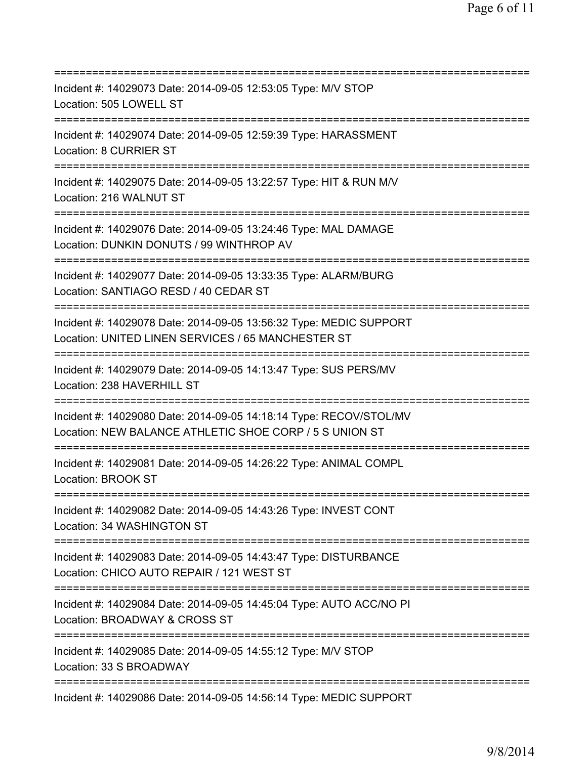| Incident #: 14029073 Date: 2014-09-05 12:53:05 Type: M/V STOP<br>Location: 505 LOWELL ST                                                                |
|---------------------------------------------------------------------------------------------------------------------------------------------------------|
| Incident #: 14029074 Date: 2014-09-05 12:59:39 Type: HARASSMENT<br><b>Location: 8 CURRIER ST</b>                                                        |
| Incident #: 14029075 Date: 2014-09-05 13:22:57 Type: HIT & RUN M/V<br>Location: 216 WALNUT ST                                                           |
| Incident #: 14029076 Date: 2014-09-05 13:24:46 Type: MAL DAMAGE<br>Location: DUNKIN DONUTS / 99 WINTHROP AV<br>======================================   |
| Incident #: 14029077 Date: 2014-09-05 13:33:35 Type: ALARM/BURG<br>Location: SANTIAGO RESD / 40 CEDAR ST                                                |
| Incident #: 14029078 Date: 2014-09-05 13:56:32 Type: MEDIC SUPPORT<br>Location: UNITED LINEN SERVICES / 65 MANCHESTER ST<br>==================          |
| Incident #: 14029079 Date: 2014-09-05 14:13:47 Type: SUS PERS/MV<br>Location: 238 HAVERHILL ST                                                          |
| Incident #: 14029080 Date: 2014-09-05 14:18:14 Type: RECOV/STOL/MV<br>Location: NEW BALANCE ATHLETIC SHOE CORP / 5 S UNION ST                           |
| Incident #: 14029081 Date: 2014-09-05 14:26:22 Type: ANIMAL COMPL<br>Location: BROOK ST                                                                 |
| Incident #: 14029082 Date: 2014-09-05 14:43:26 Type: INVEST CONT<br>Location: 34 WASHINGTON ST                                                          |
| Incident #: 14029083 Date: 2014-09-05 14:43:47 Type: DISTURBANCE<br>Location: CHICO AUTO REPAIR / 121 WEST ST<br>====================================== |
| Incident #: 14029084 Date: 2014-09-05 14:45:04 Type: AUTO ACC/NO PI<br>Location: BROADWAY & CROSS ST                                                    |
| Incident #: 14029085 Date: 2014-09-05 14:55:12 Type: M/V STOP<br>Location: 33 S BROADWAY                                                                |
| Incident #: 14029086 Date: 2014-09-05 14:56:14 Type: MEDIC SUPPORT                                                                                      |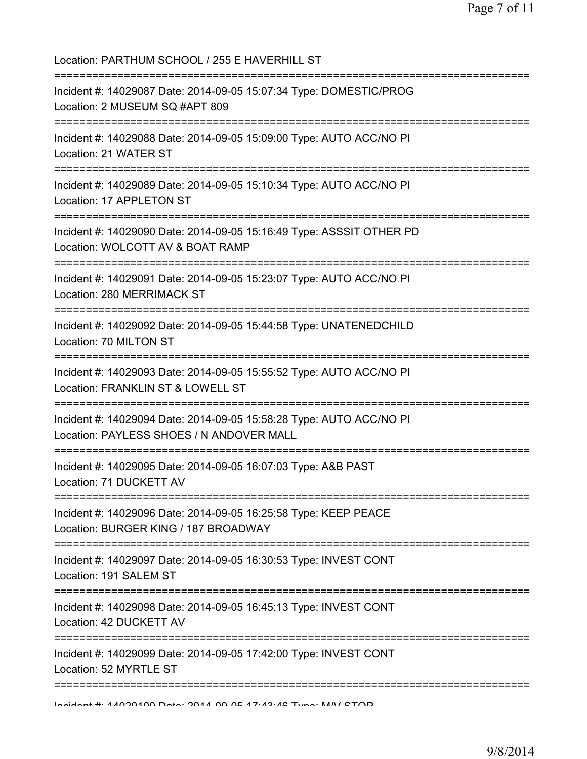| Location: PARTHUM SCHOOL / 255 E HAVERHILL ST<br>=================================                                                                 |
|----------------------------------------------------------------------------------------------------------------------------------------------------|
| Incident #: 14029087 Date: 2014-09-05 15:07:34 Type: DOMESTIC/PROG<br>Location: 2 MUSEUM SQ #APT 809                                               |
| Incident #: 14029088 Date: 2014-09-05 15:09:00 Type: AUTO ACC/NO PI<br>Location: 21 WATER ST                                                       |
| Incident #: 14029089 Date: 2014-09-05 15:10:34 Type: AUTO ACC/NO PI<br>Location: 17 APPLETON ST                                                    |
| Incident #: 14029090 Date: 2014-09-05 15:16:49 Type: ASSSIT OTHER PD<br>Location: WOLCOTT AV & BOAT RAMP                                           |
| :===========================<br>=============<br>Incident #: 14029091 Date: 2014-09-05 15:23:07 Type: AUTO ACC/NO PI<br>Location: 280 MERRIMACK ST |
| Incident #: 14029092 Date: 2014-09-05 15:44:58 Type: UNATENEDCHILD<br>Location: 70 MILTON ST                                                       |
| Incident #: 14029093 Date: 2014-09-05 15:55:52 Type: AUTO ACC/NO PI<br>Location: FRANKLIN ST & LOWELL ST                                           |
| Incident #: 14029094 Date: 2014-09-05 15:58:28 Type: AUTO ACC/NO PI<br>Location: PAYLESS SHOES / N ANDOVER MALL                                    |
| Incident #: 14029095 Date: 2014-09-05 16:07:03 Type: A&B PAST<br>Location: 71 DUCKETT AV                                                           |
| Incident #: 14029096 Date: 2014-09-05 16:25:58 Type: KEEP PEACE<br>Location: BURGER KING / 187 BROADWAY                                            |
| Incident #: 14029097 Date: 2014-09-05 16:30:53 Type: INVEST CONT<br>Location: 191 SALEM ST                                                         |
| Incident #: 14029098 Date: 2014-09-05 16:45:13 Type: INVEST CONT<br>Location: 42 DUCKETT AV                                                        |
| Incident #: 14029099 Date: 2014-09-05 17:42:00 Type: INVEST CONT<br>Location: 52 MYRTLE ST                                                         |
| Incident #: 44000400 Data: 0044 00 0E 47:49:42 Tune: MAI/ CTOD                                                                                     |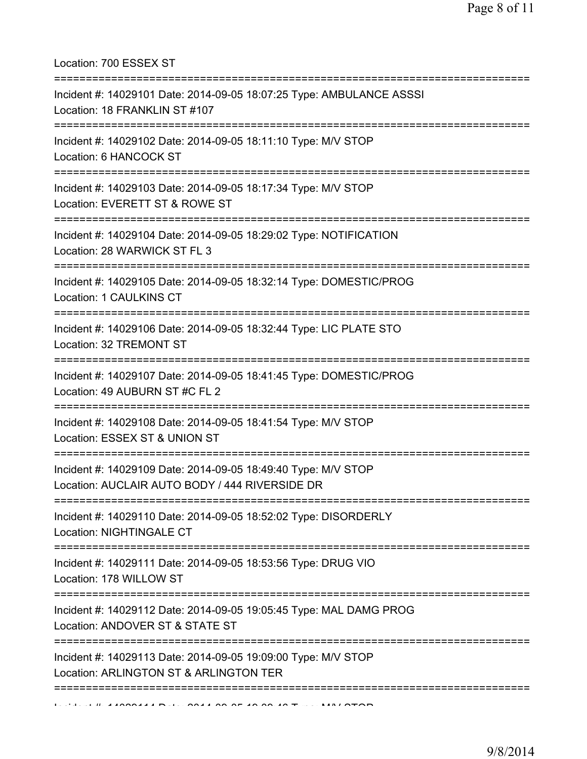Location: 700 ESSEX ST

| Incident #: 14029101 Date: 2014-09-05 18:07:25 Type: AMBULANCE ASSSI<br>Location: 18 FRANKLIN ST #107                 |
|-----------------------------------------------------------------------------------------------------------------------|
| Incident #: 14029102 Date: 2014-09-05 18:11:10 Type: M/V STOP<br>Location: 6 HANCOCK ST<br>========================== |
| Incident #: 14029103 Date: 2014-09-05 18:17:34 Type: M/V STOP<br>Location: EVERETT ST & ROWE ST                       |
| Incident #: 14029104 Date: 2014-09-05 18:29:02 Type: NOTIFICATION<br>Location: 28 WARWICK ST FL 3                     |
| Incident #: 14029105 Date: 2014-09-05 18:32:14 Type: DOMESTIC/PROG<br>Location: 1 CAULKINS CT                         |
| Incident #: 14029106 Date: 2014-09-05 18:32:44 Type: LIC PLATE STO<br>Location: 32 TREMONT ST                         |
| Incident #: 14029107 Date: 2014-09-05 18:41:45 Type: DOMESTIC/PROG<br>Location: 49 AUBURN ST #C FL 2                  |
| Incident #: 14029108 Date: 2014-09-05 18:41:54 Type: M/V STOP<br>Location: ESSEX ST & UNION ST                        |
| Incident #: 14029109 Date: 2014-09-05 18:49:40 Type: M/V STOP<br>Location: AUCLAIR AUTO BODY / 444 RIVERSIDE DR       |
| Incident #: 14029110 Date: 2014-09-05 18:52:02 Type: DISORDERLY<br>Location: NIGHTINGALE CT                           |
| Incident #: 14029111 Date: 2014-09-05 18:53:56 Type: DRUG VIO<br>Location: 178 WILLOW ST                              |
| Incident #: 14029112 Date: 2014-09-05 19:05:45 Type: MAL DAMG PROG<br>Location: ANDOVER ST & STATE ST                 |
| Incident #: 14029113 Date: 2014-09-05 19:09:00 Type: M/V STOP<br>Location: ARLINGTON ST & ARLINGTON TER               |
| A JOON HALL ON A A OF A OO OF                                                                                         |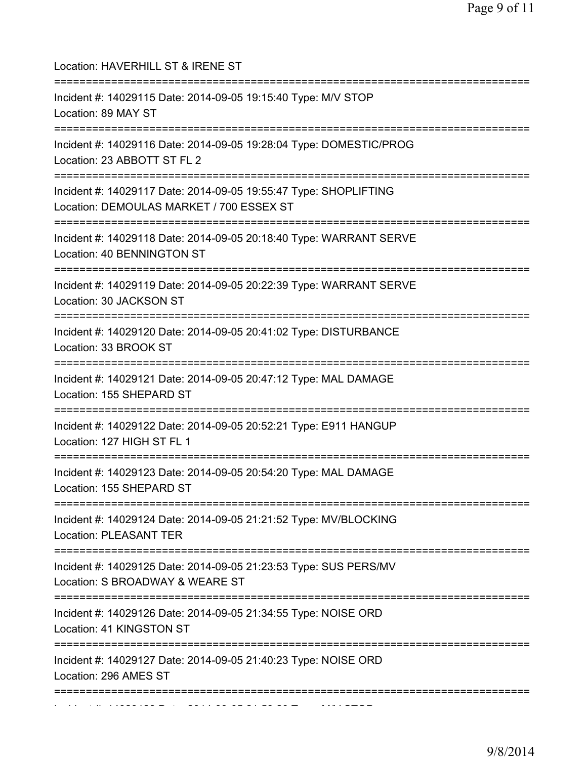| Location: HAVERHILL ST & IRENE ST                                                                                                           |
|---------------------------------------------------------------------------------------------------------------------------------------------|
| Incident #: 14029115 Date: 2014-09-05 19:15:40 Type: M/V STOP<br>Location: 89 MAY ST<br>==========================                          |
| Incident #: 14029116 Date: 2014-09-05 19:28:04 Type: DOMESTIC/PROG<br>Location: 23 ABBOTT ST FL 2                                           |
| Incident #: 14029117 Date: 2014-09-05 19:55:47 Type: SHOPLIFTING<br>Location: DEMOULAS MARKET / 700 ESSEX ST<br>=========================== |
| Incident #: 14029118 Date: 2014-09-05 20:18:40 Type: WARRANT SERVE<br>Location: 40 BENNINGTON ST                                            |
| Incident #: 14029119 Date: 2014-09-05 20:22:39 Type: WARRANT SERVE<br>Location: 30 JACKSON ST                                               |
| Incident #: 14029120 Date: 2014-09-05 20:41:02 Type: DISTURBANCE<br>Location: 33 BROOK ST                                                   |
| Incident #: 14029121 Date: 2014-09-05 20:47:12 Type: MAL DAMAGE<br>Location: 155 SHEPARD ST                                                 |
| Incident #: 14029122 Date: 2014-09-05 20:52:21 Type: E911 HANGUP<br>Location: 127 HIGH ST FL 1                                              |
| Incident #: 14029123 Date: 2014-09-05 20:54:20 Type: MAL DAMAGE<br>Location: 155 SHEPARD ST<br>====================================         |
| Incident #: 14029124 Date: 2014-09-05 21:21:52 Type: MV/BLOCKING<br>Location: PLEASANT TER                                                  |
| Incident #: 14029125 Date: 2014-09-05 21:23:53 Type: SUS PERS/MV<br>Location: S BROADWAY & WEARE ST                                         |
| ===============<br>Incident #: 14029126 Date: 2014-09-05 21:34:55 Type: NOISE ORD<br>Location: 41 KINGSTON ST                               |
| Incident #: 14029127 Date: 2014-09-05 21:40:23 Type: NOISE ORD<br>Location: 296 AMES ST                                                     |
| :===================================                                                                                                        |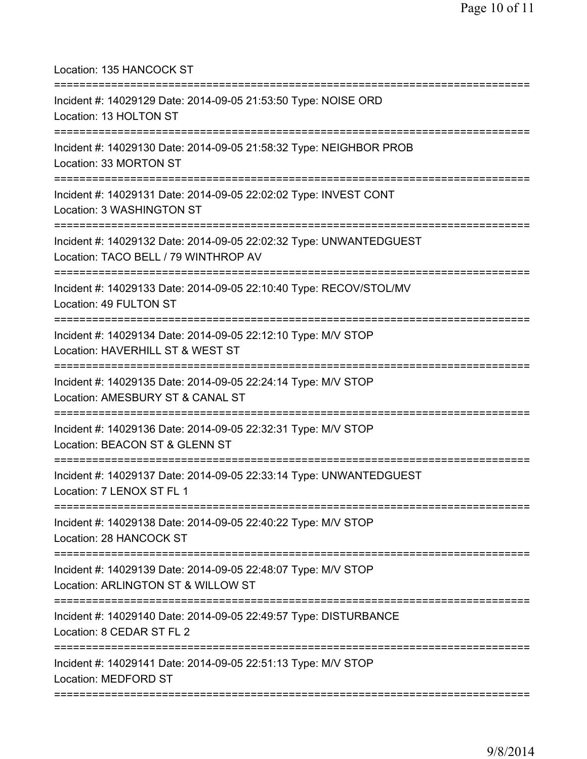Location: 135 HANCOCK ST =========================================================================== Incident #: 14029129 Date: 2014-09-05 21:53:50 Type: NOISE ORD Location: 13 HOLTON ST =========================================================================== Incident #: 14029130 Date: 2014-09-05 21:58:32 Type: NEIGHBOR PROB Location: 33 MORTON ST =========================================================================== Incident #: 14029131 Date: 2014-09-05 22:02:02 Type: INVEST CONT Location: 3 WASHINGTON ST =========================================================================== Incident #: 14029132 Date: 2014-09-05 22:02:32 Type: UNWANTEDGUEST Location: TACO BELL / 79 WINTHROP AV =========================================================================== Incident #: 14029133 Date: 2014-09-05 22:10:40 Type: RECOV/STOL/MV Location: 49 FULTON ST =========================================================================== Incident #: 14029134 Date: 2014-09-05 22:12:10 Type: M/V STOP Location: HAVERHILL ST & WEST ST =========================================================================== Incident #: 14029135 Date: 2014-09-05 22:24:14 Type: M/V STOP Location: AMESBURY ST & CANAL ST =========================================================================== Incident #: 14029136 Date: 2014-09-05 22:32:31 Type: M/V STOP Location: BEACON ST & GLENN ST =========================================================================== Incident #: 14029137 Date: 2014-09-05 22:33:14 Type: UNWANTEDGUEST Location: 7 LENOX ST FL 1 =========================================================================== Incident #: 14029138 Date: 2014-09-05 22:40:22 Type: M/V STOP Location: 28 HANCOCK ST =========================================================================== Incident #: 14029139 Date: 2014-09-05 22:48:07 Type: M/V STOP Location: ARLINGTON ST & WILLOW ST =========================================================================== Incident #: 14029140 Date: 2014-09-05 22:49:57 Type: DISTURBANCE Location: 8 CEDAR ST FL 2 =========================================================================== Incident #: 14029141 Date: 2014-09-05 22:51:13 Type: M/V STOP Location: MEDFORD ST ===========================================================================